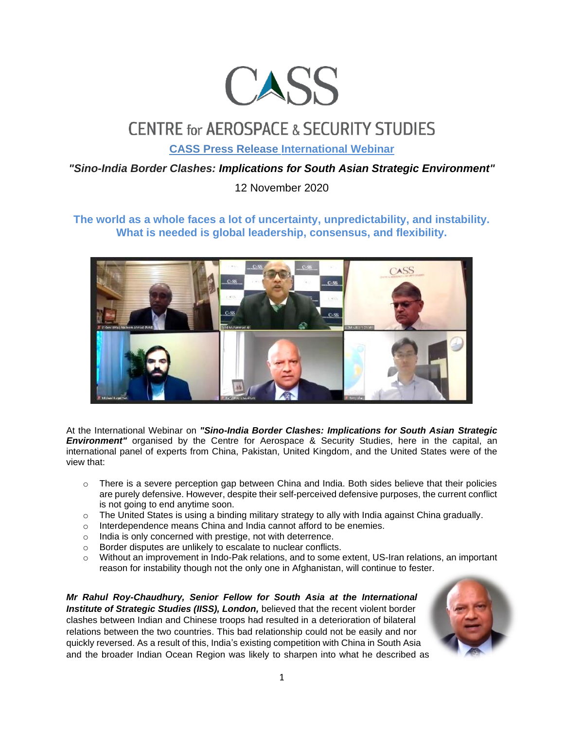

## **CENTRE for AEROSPACE & SECURITY STUDIES**

**CASS Press Release International Webinar**

## *"Sino-India Border Clashes: Implications for South Asian Strategic Environment"*

12 November 2020

## **The world as a whole faces a lot of uncertainty, unpredictability, and instability. What is needed is global leadership, consensus, and flexibility.**



At the International Webinar on *"Sino-India Border Clashes: Implications for South Asian Strategic*  **Environment"** organised by the Centre for Aerospace & Security Studies, here in the capital, an international panel of experts from China, Pakistan, United Kingdom, and the United States were of the view that:

- $\circ$  There is a severe perception gap between China and India. Both sides believe that their policies are purely defensive. However, despite their self-perceived defensive purposes, the current conflict is not going to end anytime soon.
- $\circ$  The United States is using a binding military strategy to ally with India against China gradually.
- o Interdependence means China and India cannot afford to be enemies.
- o India is only concerned with prestige, not with deterrence.
- o Border disputes are unlikely to escalate to nuclear conflicts.
- o Without an improvement in Indo-Pak relations, and to some extent, US-Iran relations, an important reason for instability though not the only one in Afghanistan, will continue to fester.

*Mr Rahul Roy-Chaudhury, Senior Fellow for South Asia at the International Institute of Strategic Studies (IISS), London,* believed that the recent violent border clashes between Indian and Chinese troops had resulted in a deterioration of bilateral relations between the two countries. This bad relationship could not be easily and nor quickly reversed. As a result of this, India's existing competition with China in South Asia and the broader Indian Ocean Region was likely to sharpen into what he described as

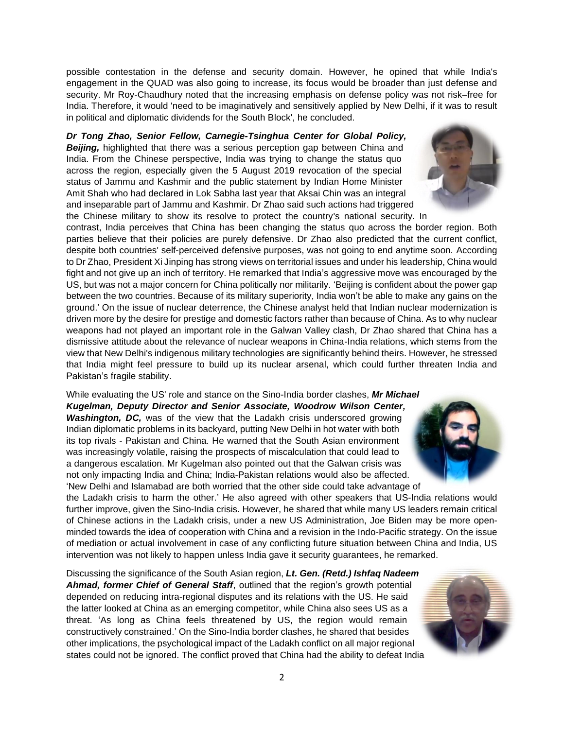possible contestation in the defense and security domain. However, he opined that while India's engagement in the QUAD was also going to increase, its focus would be broader than just defense and security. Mr Roy-Chaudhury noted that the increasing emphasis on defense policy was not risk–free for India. Therefore, it would 'need to be imaginatively and sensitively applied by New Delhi, if it was to result in political and diplomatic dividends for the South Block', he concluded.

## *Dr Tong Zhao, Senior Fellow, Carnegie-Tsinghua Center for Global Policy,*

*Beijing,* highlighted that there was a serious perception gap between China and India. From the Chinese perspective, India was trying to change the status quo across the region, especially given the 5 August 2019 revocation of the special status of Jammu and Kashmir and the public statement by Indian Home Minister Amit Shah who had declared in Lok Sabha last year that Aksai Chin was an integral and inseparable part of Jammu and Kashmir. Dr Zhao said such actions had triggered the Chinese military to show its resolve to protect the country's national security. In



While evaluating the US' role and stance on the Sino-India border clashes, *Mr Michael Kugelman, Deputy Director and Senior Associate, Woodrow Wilson Center, Washington, DC,* was of the view that the Ladakh crisis underscored growing Indian diplomatic problems in its backyard, putting New Delhi in hot water with both its top rivals - Pakistan and China. He warned that the South Asian environment was increasingly volatile, raising the prospects of miscalculation that could lead to a dangerous escalation. Mr Kugelman also pointed out that the Galwan crisis was not only impacting India and China; India-Pakistan relations would also be affected. 'New Delhi and Islamabad are both worried that the other side could take advantage of

the Ladakh crisis to harm the other.' He also agreed with other speakers that US-India relations would further improve, given the Sino-India crisis. However, he shared that while many US leaders remain critical of Chinese actions in the Ladakh crisis, under a new US Administration, Joe Biden may be more openminded towards the idea of cooperation with China and a revision in the Indo-Pacific strategy. On the issue of mediation or actual involvement in case of any conflicting future situation between China and India, US intervention was not likely to happen unless India gave it security guarantees, he remarked.

Discussing the significance of the South Asian region, *Lt. Gen. (Retd.) Ishfaq Nadeem Ahmad, former Chief of General Staff*, outlined that the region's growth potential depended on reducing intra-regional disputes and its relations with the US. He said the latter looked at China as an emerging competitor, while China also sees US as a threat. 'As long as China feels threatened by US, the region would remain constructively constrained.' On the Sino-India border clashes, he shared that besides other implications, the psychological impact of the Ladakh conflict on all major regional states could not be ignored. The conflict proved that China had the ability to defeat India